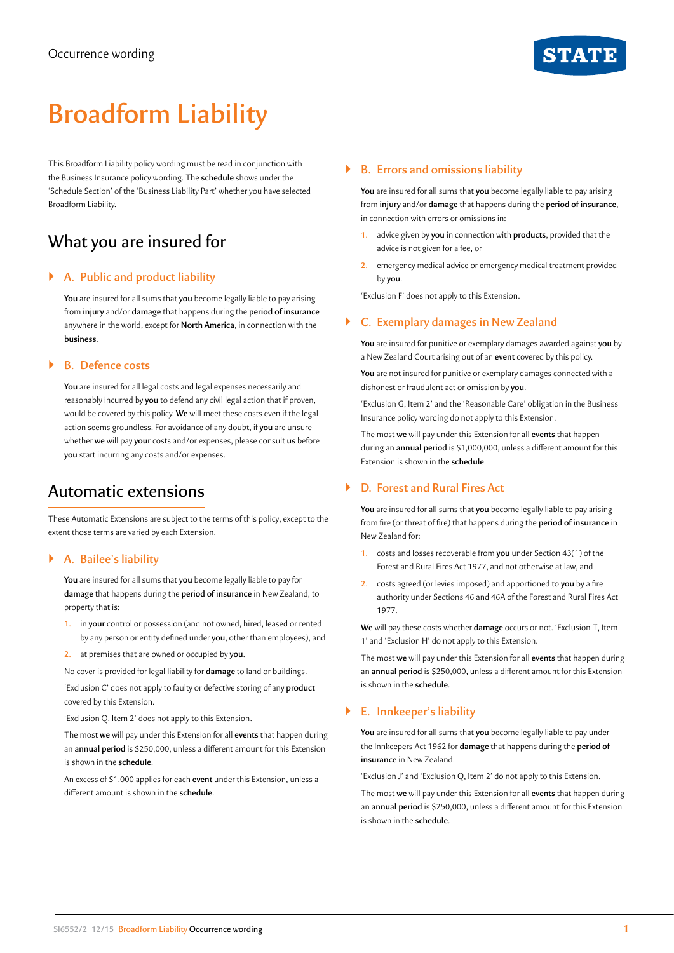# **Broadform Liability**

This Broadform Liability policy wording must be read in conjunction with the Business Insurance policy wording. The **schedule** shows under the 'Schedule Section' of the 'Business Liability Part' whether you have selected Broadform Liability.

# What you are insured for

# ` **A. Public and product liability**

**You** are insured for all sums that **you** become legally liable to pay arising from **injury** and/or **damage** that happens during the **period of insurance**  anywhere in the world, except for **North America**, in connection with the **business**.

## ` **B. Defence costs**

**You** are insured for all legal costs and legal expenses necessarily and reasonably incurred by **you** to defend any civil legal action that if proven, would be covered by this policy. **We** will meet these costs even if the legal action seems groundless. For avoidance of any doubt, if **you** are unsure whether **we** will pay **your** costs and/or expenses, please consult **us** before **you** start incurring any costs and/or expenses.

# Automatic extensions

These Automatic Extensions are subject to the terms of this policy, except to the extent those terms are varied by each Extension.

#### ` **A. Bailee's liability**

**You** are insured for all sums that **you** become legally liable to pay for **damage** that happens during the **period of insurance** in New Zealand, to property that is:

- **1.** in **your** control or possession (and not owned, hired, leased or rented by any person or entity defined under **you**, other than employees), and
- **2.** at premises that are owned or occupied by **you**.

No cover is provided for legal liability for **damage** to land or buildings.

'Exclusion C' does not apply to faulty or defective storing of any **product**  covered by this Extension.

'Exclusion Q, Item 2' does not apply to this Extension.

The most **we** will pay under this Extension for all **events** that happen during an **annual period** is \$250,000, unless a different amount for this Extension is shown in the **schedule**.

An excess of \$1,000 applies for each **event** under this Extension, unless a different amount is shown in the **schedule**.

# ` **B. Errors and omissions liability**

**You** are insured for all sums that **you** become legally liable to pay arising from **injury** and/or **damage** that happens during the **period of insurance**, in connection with errors or omissions in:

- **1.** advice given by **you** in connection with **products**, provided that the advice is not given for a fee, or
- **2.** emergency medical advice or emergency medical treatment provided by **you**.

'Exclusion F' does not apply to this Extension.

# ` **C. Exemplary damages in New Zealand**

**You** are insured for punitive or exemplary damages awarded against **you** by a New Zealand Court arising out of an **event** covered by this policy.

**You** are not insured for punitive or exemplary damages connected with a dishonest or fraudulent act or omission by **you**.

'Exclusion G, Item 2' and the 'Reasonable Care' obligation in the Business Insurance policy wording do not apply to this Extension.

The most **we** will pay under this Extension for all **events** that happen during an **annual period** is \$1,000,000, unless a different amount for this Extension is shown in the **schedule**.

# ` **D. Forest and Rural Fires Act**

**You** are insured for all sums that **you** become legally liable to pay arising from fire (or threat of fire) that happens during the **period of insurance** in New Zealand for:

- **1.** costs and losses recoverable from **you** under Section 43(1) of the Forest and Rural Fires Act 1977, and not otherwise at law, and
- **2.** costs agreed (or levies imposed) and apportioned to **you** by a fire authority under Sections 46 and 46A of the Forest and Rural Fires Act 1977.

**We** will pay these costs whether **damage** occurs or not. 'Exclusion T, Item 1' and 'Exclusion H' do not apply to this Extension.

The most **we** will pay under this Extension for all **events** that happen during an **annual period** is \$250,000, unless a different amount for this Extension is shown in the **schedule**.

# ` **E. Innkeeper's liability**

**You** are insured for all sums that **you** become legally liable to pay under the Innkeepers Act 1962 for **damage** that happens during the **period of insurance** in New Zealand.

'Exclusion J' and 'Exclusion Q, Item 2' do not apply to this Extension.

The most **we** will pay under this Extension for all **events** that happen during an **annual period** is \$250,000, unless a different amount for this Extension is shown in the **schedule**.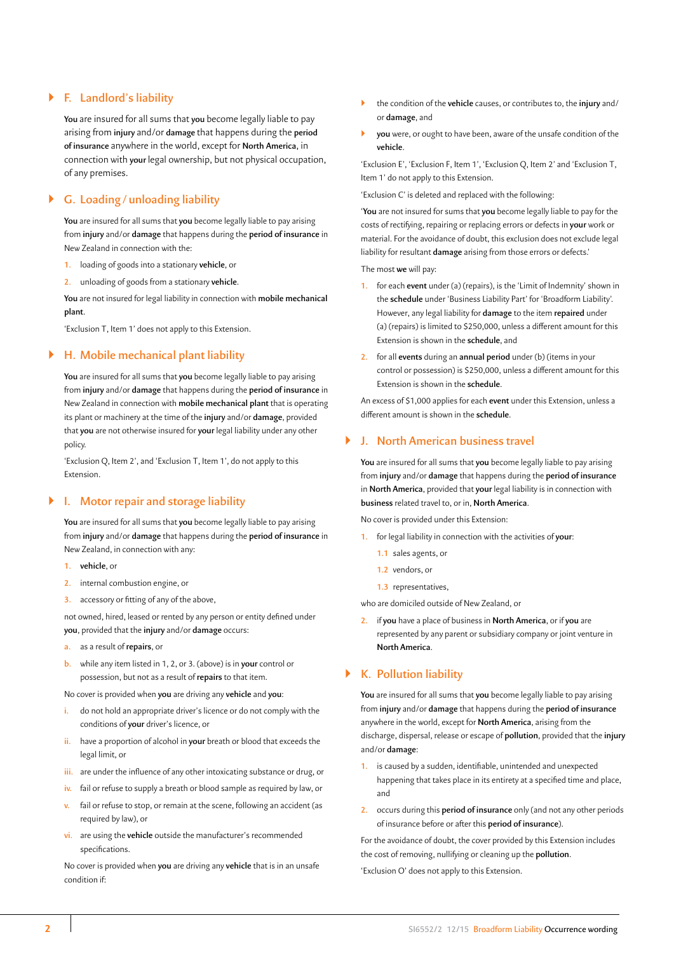### ` **F. Landlord's liability**

**You** are insured for all sums that **you** become legally liable to pay arising from **injury** and/or **damage** that happens during the **period of insurance** anywhere in the world, except for **North America**, in connection with **your** legal ownership, but not physical occupation, of any premises.

# ` **G. Loading /unloading liability**

**You** are insured for all sums that **you** become legally liable to pay arising from **injury** and/or **damage** that happens during the **period of insurance** in New Zealand in connection with the:

**1.** loading of goods into a stationary **vehicle**, or

**2.** unloading of goods from a stationary **vehicle**.

**You** are not insured for legal liability in connection with **mobile mechanical plant**.

'Exclusion T, Item 1' does not apply to this Extension.

#### ` **H. Mobile mechanical plant liability**

**You** are insured for all sums that **you** become legally liable to pay arising from **injury** and/or **damage** that happens during the **period of insurance** in New Zealand in connection with **mobile mechanical plant** that is operating its plant or machinery at the time of the **injury** and/or **damage**, provided that **you** are not otherwise insured for **your** legal liability under any other policy.

'Exclusion Q, Item 2', and 'Exclusion T, Item 1', do not apply to this Extension.

#### ` **I. Motor repair and storage liability**

**You** are insured for all sums that **you** become legally liable to pay arising from **injury** and/or **damage** that happens during the **period of insurance** in New Zealand, in connection with any:

- **1. vehicle**, or
- **2.** internal combustion engine, or
- **3.** accessory or fitting of any of the above,

not owned, hired, leased or rented by any person or entity defined under **you**, provided that the **injury** and/or **damage** occurs:

- **a.** as a result of **repairs**, or
- **b.** while any item listed in 1, 2, or 3. (above) is in **your** control or possession, but not as a result of **repairs** to that item.

No cover is provided when **you** are driving any **vehicle** and **you**:

- **i.** do not hold an appropriate driver's licence or do not comply with the conditions of **your** driver's licence, or
- **ii.** have a proportion of alcohol in **your** breath or blood that exceeds the legal limit, or
- **iii.** are under the influence of any other intoxicating substance or drug, or
- **iv.** fail or refuse to supply a breath or blood sample as required by law, or
- **v.** fail or refuse to stop, or remain at the scene, following an accident (as required by law), or
- **vi.** are using the **vehicle** outside the manufacturer's recommended specifications.

No cover is provided when **you** are driving any **vehicle** that is in an unsafe condition if:

- ` the condition of the **vehicle** causes, or contributes to, the **injury** and/ or **damage**, and
- ` **you** were, or ought to have been, aware of the unsafe condition of the **vehicle**.

'Exclusion E', 'Exclusion F, Item 1', 'Exclusion Q, Item 2' and 'Exclusion T, Item 1' do not apply to this Extension.

'Exclusion C' is deleted and replaced with the following:

'**You** are not insured for sums that **you** become legally liable to pay for the costs of rectifying, repairing or replacing errors or defects in **your** work or material. For the avoidance of doubt, this exclusion does not exclude legal liability for resultant **damage** arising from those errors or defects.'

The most **we** will pay:

- **1.** for each **event** under (a) (repairs), is the 'Limit of Indemnity' shown in the **schedule** under 'Business Liability Part' for 'Broadform Liability'. However, any legal liability for **damage** to the item **repaired** under (a) (repairs) is limited to \$250,000, unless a different amount for this Extension is shown in the **schedule**, and
- **2.** for all **events** during an **annual period** under (b) (items in your control or possession) is \$250,000, unless a different amount for this Extension is shown in the **schedule**.

An excess of \$1,000 applies for each **event** under this Extension, unless a different amount is shown in the **schedule**.

#### ` **J. North American business travel**

**You** are insured for all sums that **you** become legally liable to pay arising from **injury** and/or **damage** that happens during the **period of insurance**  in **North America**, provided that **your** legal liability is in connection with **business** related travel to, or in, **North America**.

No cover is provided under this Extension:

- **1.** for legal liability in connection with the activities of **your**:
	- **1.1** sales agents, or
	- **1.2** vendors, or
	- **1.3** representatives,

who are domiciled outside of New Zealand, or

**2.** if **you** have a place of business in **North America**, or if **you** are represented by any parent or subsidiary company or joint venture in **North America**.

# ` **K. Pollution liability**

**You** are insured for all sums that **you** become legally liable to pay arising from **injury** and/or **damage** that happens during the **period of insurance**  anywhere in the world, except for **North America**, arising from the discharge, dispersal, release or escape of **pollution**, provided that the **injury**  and/or **damage**:

- **1.** is caused by a sudden, identifiable, unintended and unexpected happening that takes place in its entirety at a specified time and place, and
- **2.** occurs during this **period of insurance** only (and not any other periods of insurance before or after this **period of insurance**).

For the avoidance of doubt, the cover provided by this Extension includes the cost of removing, nullifying or cleaning up the **pollution**.

'Exclusion O' does not apply to this Extension.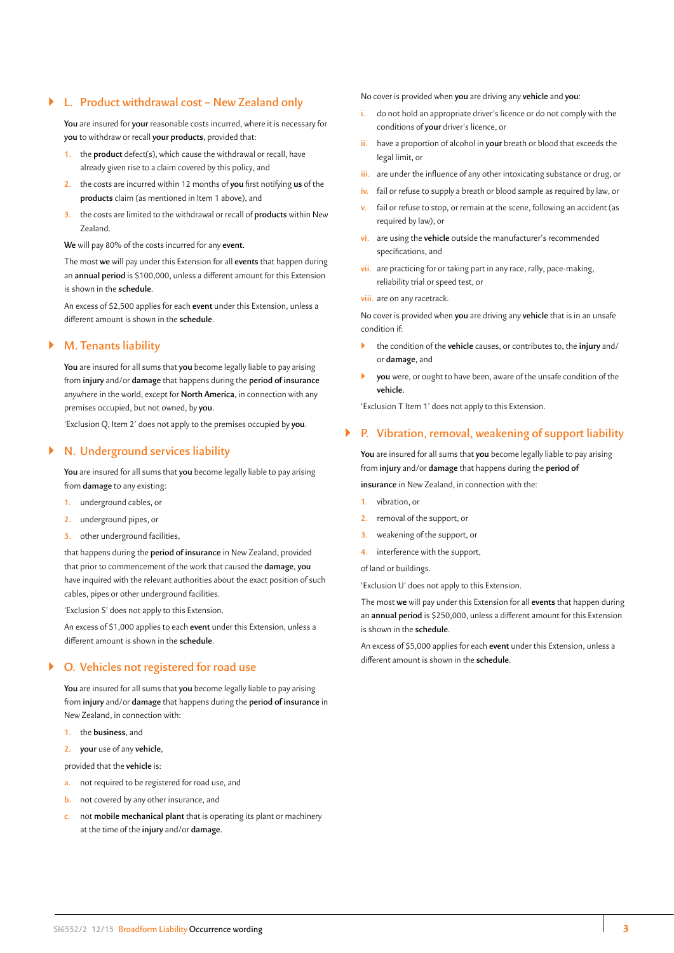#### ` **L. Product withdrawal cost – New Zealand only**

**You** are insured for **your** reasonable costs incurred, where it is necessary for **you** to withdraw or recall **your products**, provided that:

- **1.** the **product** defect(s), which cause the withdrawal or recall, have already given rise to a claim covered by this policy, and
- **2.** the costs are incurred within 12 months of **you** first notifying **us** of the **products** claim (as mentioned in Item 1 above), and
- **3.** the costs are limited to the withdrawal or recall of **products** within New Zealand.

**We** will pay 80% of the costs incurred for any **event**.

The most **we** will pay under this Extension for all **events** that happen during an **annual period** is \$100,000, unless a different amount for this Extension is shown in the **schedule**.

An excess of \$2,500 applies for each **event** under this Extension, unless a different amount is shown in the **schedule**.

#### ` **M. Tenants liability**

**You** are insured for all sums that **you** become legally liable to pay arising from **injury** and/or **damage** that happens during the **period of insurance**  anywhere in the world, except for **North America**, in connection with any premises occupied, but not owned, by **you**.

'Exclusion Q, Item 2' does not apply to the premises occupied by **you**.

## ` **N. Underground services liability**

**You** are insured for all sums that **you** become legally liable to pay arising from **damage** to any existing:

- **1.** underground cables, or
- **2.** underground pipes, or
- **3.** other underground facilities,

that happens during the **period of insurance** in New Zealand, provided that prior to commencement of the work that caused the **damage**, **you**  have inquired with the relevant authorities about the exact position of such cables, pipes or other underground facilities.

'Exclusion S' does not apply to this Extension.

An excess of \$1,000 applies to each **event** under this Extension, unless a different amount is shown in the **schedule**.

### ` **O. Vehicles not registered for road use**

**You** are insured for all sums that **you** become legally liable to pay arising from **injury** and/or **damage** that happens during the **period of insurance** in New Zealand, in connection with:

- **1.** the **business**, and
- **2. your** use of any **vehicle**,

provided that the **vehicle** is:

- **a.** not required to be registered for road use, and
- **b.** not covered by any other insurance, and
- **c.** not **mobile mechanical plant** that is operating its plant or machinery at the time of the **injury** and/or **damage**.

No cover is provided when **you** are driving any **vehicle** and **you**:

- **i.** do not hold an appropriate driver's licence or do not comply with the conditions of **your** driver's licence, or
- **ii.** have a proportion of alcohol in **your** breath or blood that exceeds the legal limit, or
- **iii.** are under the influence of any other intoxicating substance or drug, or
- **iv.** fail or refuse to supply a breath or blood sample as required by law, or
- **v.** fail or refuse to stop, or remain at the scene, following an accident (as required by law), or
- **vi.** are using the **vehicle** outside the manufacturer's recommended specifications, and
- **vii.** are practicing for or taking part in any race, rally, pace-making, reliability trial or speed test, or
- **viii.** are on any racetrack.

No cover is provided when **you** are driving any **vehicle** that is in an unsafe condition if:

- ` the condition of the **vehicle** causes, or contributes to, the **injury** and/ or **damage**, and
- ` **you** were, or ought to have been, aware of the unsafe condition of the **vehicle**.

'Exclusion T Item 1' does not apply to this Extension.

#### ` **P. Vibration, removal, weakening of support liability**

**You** are insured for all sums that **you** become legally liable to pay arising from **injury** and/or **damage** that happens during the **period of**

**insurance** in New Zealand, in connection with the:

- **1.** vibration, or
- **2.** removal of the support, or
- **3.** weakening of the support, or
- **4.** interference with the support,

of land or buildings.

'Exclusion U' does not apply to this Extension.

The most **we** will pay under this Extension for all **events** that happen during an **annual period** is \$250,000, unless a different amount for this Extension is shown in the **schedule**.

An excess of \$5,000 applies for each **event** under this Extension, unless a different amount is shown in the **schedule**.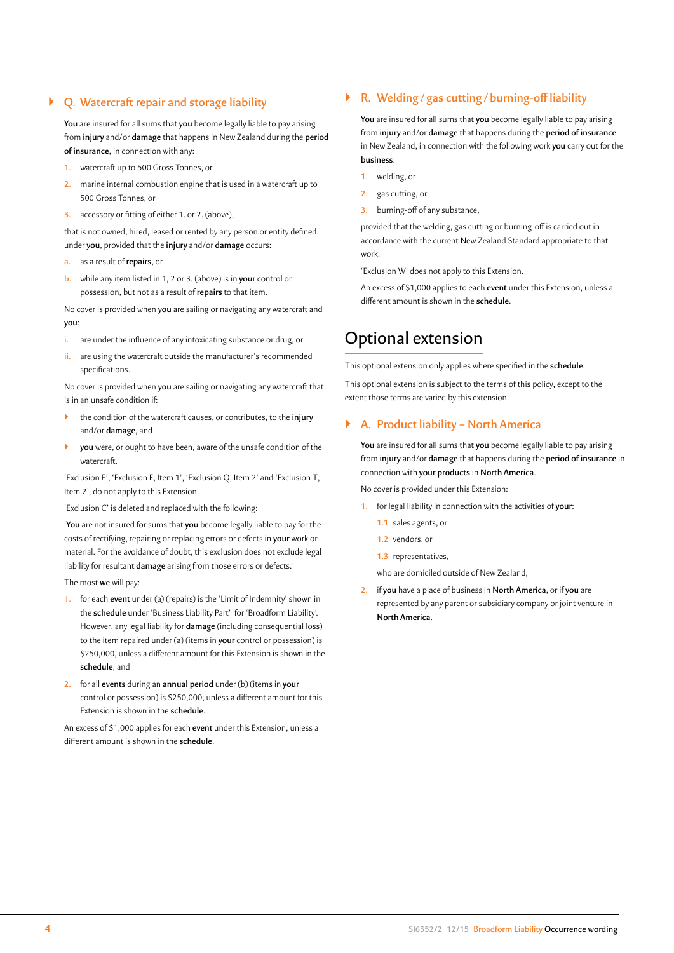# ` **Q. Watercraft repair and storage liability**

**You** are insured for all sums that **you** become legally liable to pay arising from **injury** and/or **damage** that happens in New Zealand during the **period of insurance**, in connection with any:

- **1.** watercraft up to 500 Gross Tonnes, or
- **2.** marine internal combustion engine that is used in a watercraft up to 500 Gross Tonnes, or
- **3.** accessory or fitting of either 1. or 2. (above),

that is not owned, hired, leased or rented by any person or entity defined under **you**, provided that the **injury** and/or **damage** occurs:

**a.** as a result of **repairs**, or

**b.** while any item listed in 1, 2 or 3. (above) is in **your** control or possession, but not as a result of **repairs** to that item.

No cover is provided when **you** are sailing or navigating any watercraft and **you**:

- **i.** are under the influence of any intoxicating substance or drug, or
- **ii.** are using the watercraft outside the manufacturer's recommended specifications.

No cover is provided when **you** are sailing or navigating any watercraft that is in an unsafe condition if:

- ` the condition of the watercraft causes, or contributes, to the **injury**  and/or **damage**, and
- ` **you** were, or ought to have been, aware of the unsafe condition of the watercraft.

'Exclusion E', 'Exclusion F, Item 1', 'Exclusion Q, Item 2' and 'Exclusion T, Item 2', do not apply to this Extension.

'Exclusion C' is deleted and replaced with the following:

'**You** are not insured for sums that **you** become legally liable to pay for the costs of rectifying, repairing or replacing errors or defects in **your** work or material. For the avoidance of doubt, this exclusion does not exclude legal liability for resultant **damage** arising from those errors or defects.'

The most **we** will pay:

- **1.** for each **event** under (a) (repairs) is the 'Limit of Indemnity' shown in the **schedule** under 'Business Liability Part' for 'Broadform Liability'. However, any legal liability for **damage** (including consequential loss) to the item repaired under (a) (items in **your** control or possession) is \$250,000, unless a different amount for this Extension is shown in the **schedule**, and
- **2.** for all **events** during an **annual period** under (b) (items in **your**  control or possession) is \$250,000, unless a different amount for this Extension is shown in the **schedule**.

An excess of \$1,000 applies for each **event** under this Extension, unless a different amount is shown in the **schedule**.

### ` **R. Welding / gas cutting /burning-off liability**

**You** are insured for all sums that **you** become legally liable to pay arising from **injury** and/or **damage** that happens during the **period of insurance**  in New Zealand, in connection with the following work **you** carry out for the **business**:

- **1.** welding, or
- **2.** gas cutting, or
- **3.** burning-off of any substance,

provided that the welding, gas cutting or burning-off is carried out in accordance with the current New Zealand Standard appropriate to that work.

'Exclusion W' does not apply to this Extension.

An excess of \$1,000 applies to each **event** under this Extension, unless a different amount is shown in the **schedule**.

# Optional extension

This optional extension only applies where specified in the **schedule**.

This optional extension is subject to the terms of this policy, except to the extent those terms are varied by this extension.

#### ` **A. Product liability – North America**

**You** are insured for all sums that **you** become legally liable to pay arising from **injury** and/or **damage** that happens during the **period of insurance** in connection with **your products** in **North America**.

No cover is provided under this Extension:

- **1.** for legal liability in connection with the activities of **your**:
	- **1.1** sales agents, or
	- **1.2** vendors, or
	- **1.3** representatives,
	- who are domiciled outside of New Zealand,
- **2.** if **you** have a place of business in **North America**, or if **you** are represented by any parent or subsidiary company or joint venture in **North America**.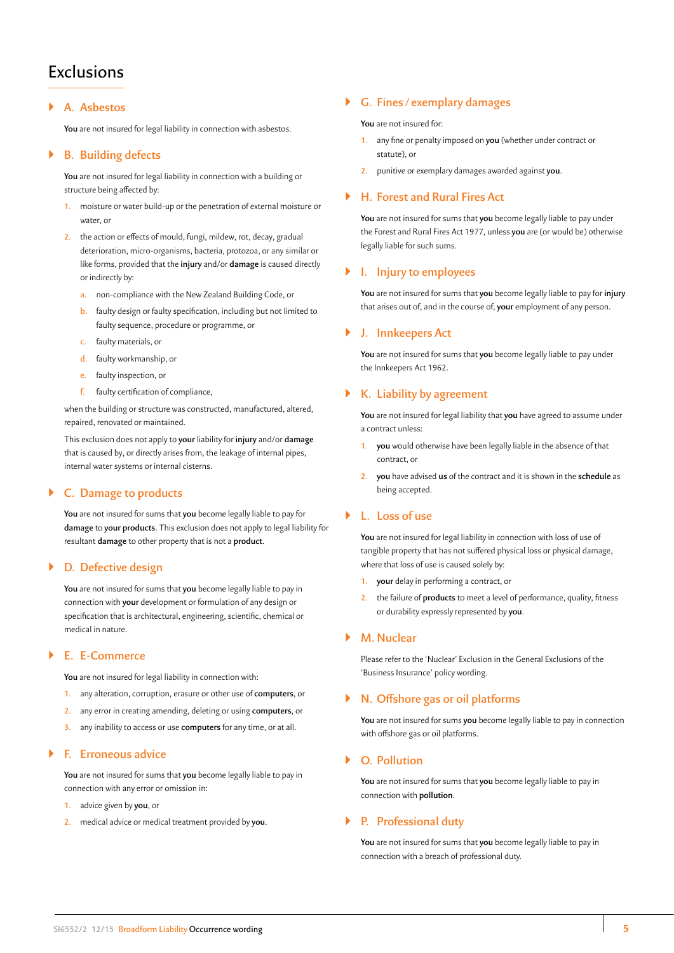# **Exclusions**

#### ` **A. Asbestos**

**You** are not insured for legal liability in connection with asbestos.

### ` **B. Building defects**

**You** are not insured for legal liability in connection with a building or structure being affected by:

- **1.** moisture or water build-up or the penetration of external moisture or water, or
- **2.** the action or effects of mould, fungi, mildew, rot, decay, gradual deterioration, micro-organisms, bacteria, protozoa, or any similar or like forms, provided that the **injury** and/or **damage** is caused directly or indirectly by:
	- **a.** non-compliance with the New Zealand Building Code, or
	- **b.** faulty design or faulty specification, including but not limited to faulty sequence, procedure or programme, or
	- **c.** faulty materials, or
	- **d.** faulty workmanship, or
	- **e.** faulty inspection, or
	- **f.** faulty certification of compliance,

when the building or structure was constructed, manufactured, altered, repaired, renovated or maintained.

This exclusion does not apply to **your** liability for **injury** and/or **damage**  that is caused by, or directly arises from, the leakage of internal pipes, internal water systems or internal cisterns.

# ` **C. Damage to products**

**You** are not insured for sums that **you** become legally liable to pay for **damage** to **your products**. This exclusion does not apply to legal liability for resultant **damage** to other property that is not a **product**.

#### ` **D. Defective design**

**You** are not insured for sums that **you** become legally liable to pay in connection with **your** development or formulation of any design or specification that is architectural, engineering, scientific, chemical or medical in nature.

#### ` **E. E-Commerce**

**You** are not insured for legal liability in connection with:

- **1.** any alteration, corruption, erasure or other use of **computers**, or
- **2.** any error in creating amending, deleting or using **computers**, or
- **3.** any inability to access or use **computers** for any time, or at all.

### ` **F. Erroneous advice**

**You** are not insured for sums that **you** become legally liable to pay in connection with any error or omission in:

- **1.** advice given by **you**, or
- **2.** medical advice or medical treatment provided by **you**.

#### ` **G. Fines / exemplary damages**

**You** are not insured for:

- **1.** any fine or penalty imposed on **you** (whether under contract or statute), or
- **2.** punitive or exemplary damages awarded against **you**.

#### ` **H. Forest and Rural Fires Act**

**You** are not insured for sums that **you** become legally liable to pay under the Forest and Rural Fires Act 1977, unless **you** are (or would be) otherwise legally liable for such sums.

#### ` **I. Injury to employees**

**You** are not insured for sums that **you** become legally liable to pay for **injury**  that arises out of, and in the course of, **your** employment of any person.

#### ` **J. Innkeepers Act**

**You** are not insured for sums that **you** become legally liable to pay under the Innkeepers Act 1962.

#### ` **K. Liability by agreement**

**You** are not insured for legal liability that **you** have agreed to assume under a contract unless:

- **1. you** would otherwise have been legally liable in the absence of that contract, or
- **2. you** have advised **us** of the contract and it is shown in the **schedule** as being accepted.

# ` **L. Loss of use**

**You** are not insured for legal liability in connection with loss of use of tangible property that has not suffered physical loss or physical damage, where that loss of use is caused solely by:

- **1. your** delay in performing a contract, or
- **2.** the failure of **products** to meet a level of performance, quality, fitness or durability expressly represented by **you**.

#### ` **M. Nuclear**

Please refer to the 'Nuclear' Exclusion in the General Exclusions of the 'Business Insurance' policy wording.

#### ` **N. Offshore gas or oil platforms**

**You** are not insured for sums **you** become legally liable to pay in connection with offshore gas or oil platforms.

### ` **O. Pollution**

**You** are not insured for sums that **you** become legally liable to pay in connection with **pollution**.

### ` **P. Professional duty**

**You** are not insured for sums that **you** become legally liable to pay in connection with a breach of professional duty.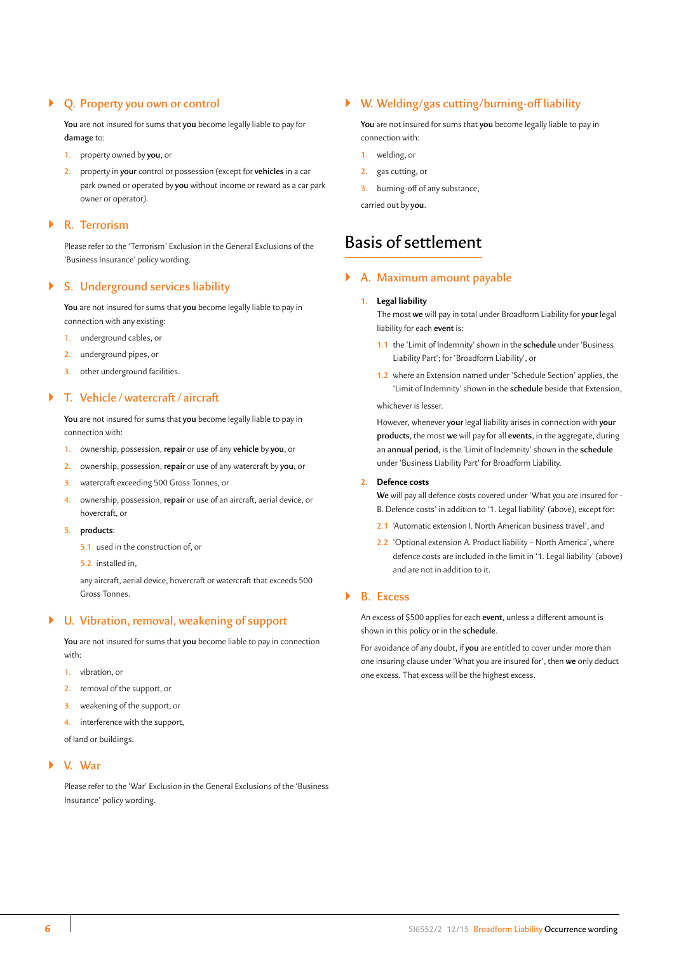### ` **Q. Property you own or control**

**You** are not insured for sums that **you** become legally liable to pay for **damage** to:

- **1.** property owned by **you**, or
- **2.** property in **your** control or possession (except for **vehicles** in a car park owned or operated by **you** without income or reward as a car park owner or operator).

#### ` **R. Terrorism**

Please refer to the 'Terrorism' Exclusion in the General Exclusions of the 'Business Insurance' policy wording.

## ` **S. Underground services liability**

**You** are not insured for sums that **you** become legally liable to pay in connection with any existing:

- **1.** underground cables, or
- **2.** underground pipes, or
- **3.** other underground facilities.

#### ` **T. Vehicle /watercraft/ aircraft**

**You** are not insured for sums that **you** become legally liable to pay in connection with:

- **1.** ownership, possession, **repair** or use of any **vehicle** by **you**, or
- **2.** ownership, possession, **repair** or use of any watercraft by **you**, or
- **3.** watercraft exceeding 500 Gross Tonnes, or
- **4.** ownership, possession, **repair** or use of an aircraft, aerial device, or hovercraft, or
- **5. products**:
	- **5.1** used in the construction of, or
	- **5.2** installed in,

any aircraft, aerial device, hovercraft or watercraft that exceeds 500 Gross Tonnes.

#### ` **U. Vibration, removal, weakening of support**

**You** are not insured for sums that **you** become liable to pay in connection with:

- **1.** vibration, or
- **2.** removal of the support, or
- **3.** weakening of the support, or
- **4.** interference with the support,

of land or buildings.

#### ` **V. War**

Please refer to the 'War' Exclusion in the General Exclusions of the 'Business Insurance' policy wording.

# ` **W. Welding/gas cutting/burning-off liability**

**You** are not insured for sums that **you** become legally liable to pay in connection with:

- **1.** welding, or
- **2.** gas cutting, or
- **3.** burning-off of any substance,

carried out by **you**.

# Basis of settlement

#### ` **A. Maximum amount payable**

#### **1. Legal liability**

The most **we** will pay in total under Broadform Liability for **your** legal liability for each **event** is:

- **1.1** the 'Limit of Indemnity' shown in the **schedule** under 'Business Liability Part'; for 'Broadform Liability', or
- **1.2** where an Extension named under 'Schedule Section' applies, the 'Limit of Indemnity' shown in the **schedule** beside that Extension, whichever is lesser.

However, whenever **your** legal liability arises in connection with **your products**, the most **we** will pay for all **events**, in the aggregate, during an **annual period**, is the 'Limit of Indemnity' shown in the **schedule**  under 'Business Liability Part' for Broadform Liability.

#### **2. Defence costs**

**We** will pay all defence costs covered under 'What you are insured for - B. Defence costs' in addition to '1. Legal liability' (above), except for:

- **2.1** 'Automatic extension I. North American business travel', and
- **2.2** 'Optional extension A. Product liability North America', where defence costs are included in the limit in '1. Legal liability' (above) and are not in addition to it.

#### ` **B. Excess**

An excess of \$500 applies for each **event**, unless a different amount is shown in this policy or in the **schedule**.

For avoidance of any doubt, if **you** are entitled to cover under more than one insuring clause under 'What you are insured for', then **we** only deduct one excess. That excess will be the highest excess.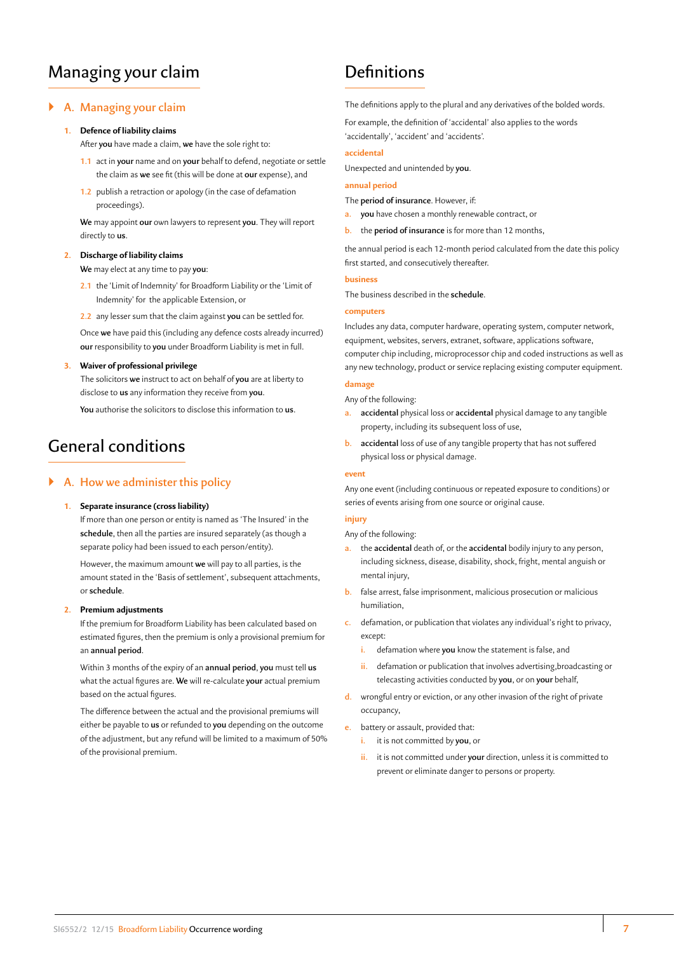# Managing your claim

# ` **A. Managing your claim**

#### **1. Defence of liability claims**

After **you** have made a claim, **we** have the sole right to:

- **1.1** act in **your** name and on **your** behalf to defend, negotiate or settle the claim as **we** see fit (this will be done at **our** expense), and
- **1.2** publish a retraction or apology (in the case of defamation proceedings).

**We** may appoint **our** own lawyers to represent **you**. They will report directly to **us**.

#### **2. Discharge of liability claims**

**We** may elect at any time to pay **you**:

- **2.1** the 'Limit of Indemnity' for Broadform Liability or the 'Limit of Indemnity' for the applicable Extension, or
- **2.2** any lesser sum that the claim against **you** can be settled for.

Once **we** have paid this (including any defence costs already incurred) **our** responsibility to **you** under Broadform Liability is met in full.

#### **3. Waiver of professional privilege**

The solicitors **we** instruct to act on behalf of **you** are at liberty to disclose to **us** any information they receive from **you**.

**You** authorise the solicitors to disclose this information to **us**.

# General conditions

#### ` **A. How we administer this policy**

#### **1. Separate insurance (cross liability)**

If more than one person or entity is named as 'The Insured' in the **schedule**, then all the parties are insured separately (as though a separate policy had been issued to each person/entity).

However, the maximum amount **we** will pay to all parties, is the amount stated in the 'Basis of settlement', subsequent attachments, or **schedule**.

#### **2. Premium adjustments**

If the premium for Broadform Liability has been calculated based on estimated figures, then the premium is only a provisional premium for an **annual period**.

Within 3 months of the expiry of an **annual period**, **you** must tell **us**  what the actual figures are. **We** will re-calculate **your** actual premium based on the actual figures.

The difference between the actual and the provisional premiums will either be payable to **us** or refunded to **you** depending on the outcome of the adjustment, but any refund will be limited to a maximum of 50% of the provisional premium.

# **Definitions**

The definitions apply to the plural and any derivatives of the bolded words.

For example, the definition of 'accidental' also applies to the words 'accidentally', 'accident' and 'accidents'.

#### **accidental**

Unexpected and unintended by **you**.

#### **annual period**

The **period of insurance**. However, if:

- **a. you** have chosen a monthly renewable contract, or
- **b.** the **period of insurance** is for more than 12 months,

the annual period is each 12-month period calculated from the date this policy first started, and consecutively thereafter.

# **business**

The business described in the **schedule**.

#### **computers**

Includes any data, computer hardware, operating system, computer network, equipment, websites, servers, extranet, software, applications software, computer chip including, microprocessor chip and coded instructions as well as any new technology, product or service replacing existing computer equipment.

#### **damage**

Any of the following:

- **a. accidental** physical loss or **accidental** physical damage to any tangible property, including its subsequent loss of use,
- **b. accidental** loss of use of any tangible property that has not suffered physical loss or physical damage.

#### **event**

Any one event (including continuous or repeated exposure to conditions) or series of events arising from one source or original cause.

#### **injury**

Any of the following:

- **a.** the **accidental** death of, or the **accidental** bodily injury to any person, including sickness, disease, disability, shock, fright, mental anguish or mental injury,
- **b.** false arrest, false imprisonment, malicious prosecution or malicious humiliation,
- **c.** defamation, or publication that violates any individual's right to privacy, except:
	- **i.** defamation where **you** know the statement is false, and
	- **ii.** defamation or publication that involves advertising,broadcasting or telecasting activities conducted by **you**, or on **your** behalf,
- **d.** wrongful entry or eviction, or any other invasion of the right of private occupancy,
- **e.** battery or assault, provided that:
	- **i.** it is not committed by **you**, or
	- **ii.** it is not committed under your direction, unless it is committed to prevent or eliminate danger to persons or property.